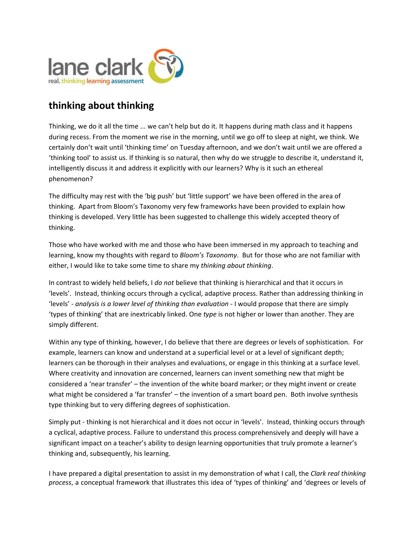

## **thinking about thinking**

Thinking, we do it all the time ... we can't help but do it. It happens during math class and it happens during recess. From the moment we rise in the morning, until we go off to sleep at night, we think. We certainly don't wait until 'thinking time' on Tuesday afternoon, and we don't wait until we are offered a 'thinking tool' to assist us. If thinking is so natural, then why do we struggle to describe it, understand it, intelligently discuss it and address it explicitly with our learners? Why is it such an ethereal phenomenon?

The difficulty may rest with the 'big push' but 'little support' we have been offered in the area of thinking. Apart from Bloom's Taxonomy very few frameworks have been provided to explain how thinking is developed. Very little has been suggested to challenge this widely accepted theory of thinking.

Those who have worked with me and those who have been immersed in my approach to teaching and learning, know my thoughts with regard to *Bloom's Taxonomy*. But for those who are not familiar with either, I would like to take some time to share my *thinking about thinking*.

In contrast to widely held beliefs, I *do not* believe that thinking is hierarchical and that it occurs in 'levels'. Instead, thinking occurs through a cyclical, adaptive process. Rather than addressing thinking in 'levels' ‐ *analysis is a lower level of thinking than evaluation* ‐ I would propose that there are simply 'types of thinking' that are inextricably linked. One *type* is not higher or lower than another. They are simply different.

Within any type of thinking, however, I do believe that there are degrees or levels of sophistication. For example, learners can know and understand at a superficial level or at a level of significant depth; learners can be thorough in their analyses and evaluations, or engage in this thinking at a surface level. Where creativity and innovation are concerned, learners can invent something new that might be considered a 'near transfer' – the invention of the white board marker; or they might invent or create what might be considered a 'far transfer' – the invention of a smart board pen. Both involve synthesis type thinking but to very differing degrees of sophistication.

Simply put ‐ thinking is not hierarchical and it does not occur in 'levels'. Instead, thinking occurs through a cyclical, adaptive process. Failure to understand this process comprehensively and deeply will have a significant impact on a teacher's ability to design learning opportunities that truly promote a learner's thinking and, subsequently, his learning.

I have prepared a digital presentation to assist in my demonstration of what I call, the *Clark real thinking process*, a conceptual framework that illustrates this idea of 'types of thinking' and 'degrees or levels of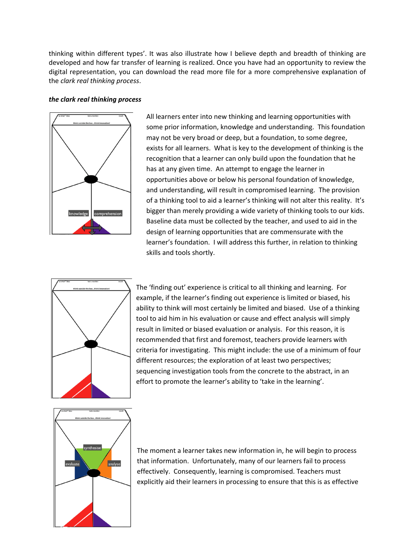thinking within different types'. It was also illustrate how I believe depth and breadth of thinking are developed and how far transfer of learning is realized. Once you have had an opportunity to review the digital representation, you can download the read more file for a more comprehensive explanation of the *clark real thinking process*.

## *the clark real thinking process*



All learners enter into new thinking and learning opportunities with some prior information, knowledge and understanding. This foundation may not be very broad or deep, but a foundation, to some degree, exists for all learners. What is key to the development of thinking is the recognition that a learner can only build upon the foundation that he has at any given time. An attempt to engage the learner in opportunities above or below his personal foundation of knowledge, and understanding, will result in compromised learning. The provision of a thinking tool to aid a learner's thinking will not alter this reality. It's bigger than merely providing a wide variety of thinking tools to our kids. Baseline data must be collected by the teacher, and used to aid in the design of learning opportunities that are commensurate with the learner's foundation. I will address this further, in relation to thinking skills and tools shortly.



The 'finding out' experience is critical to all thinking and learning. For example, if the learner's finding out experience is limited or biased, his ability to think will most certainly be limited and biased. Use of a thinking tool to aid him in his evaluation or cause and effect analysis will simply result in limited or biased evaluation or analysis. For this reason, it is recommended that first and foremost, teachers provide learners with criteria for investigating. This might include: the use of a minimum of four different resources; the exploration of at least two perspectives; sequencing investigation tools from the concrete to the abstract, in an effort to promote the learner's ability to 'take in the learning'.



The moment a learner takes new information in, he will begin to process that information. Unfortunately, many of our learners fail to process effectively. Consequently, learning is compromised. Teachers must explicitly aid their learners in processing to ensure that this is as effective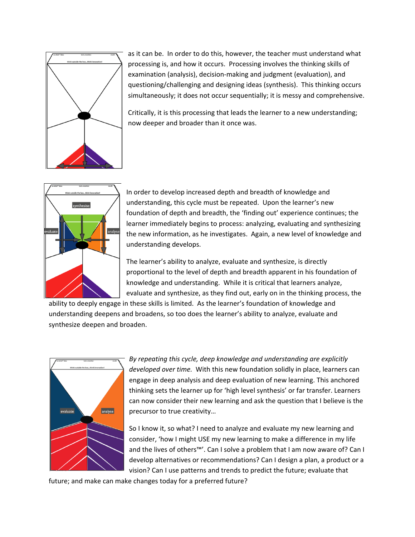

as it can be. In order to do this, however, the teacher must understand what processing is, and how it occurs. Processing involves the thinking skills of examination (analysis), decision‐making and judgment (evaluation), and questioning/challenging and designing ideas (synthesis). This thinking occurs simultaneously; it does not occur sequentially; it is messy and comprehensive.

Critically, it is this processing that leads the learner to a new understanding; now deeper and broader than it once was.



In order to develop increased depth and breadth of knowledge and understanding, this cycle must be repeated. Upon the learner's new foundation of depth and breadth, the 'finding out' experience continues; the learner immediately begins to process: analyzing, evaluating and synthesizing the new information, as he investigates. Again, a new level of knowledge and understanding develops.

The learner's ability to analyze, evaluate and synthesize, is directly proportional to the level of depth and breadth apparent in his foundation of knowledge and understanding. While it is critical that learners analyze, evaluate and synthesize, as they find out, early on in the thinking process, the

ability to deeply engage in these skills is limited. As the learner's foundation of knowledge and understanding deepens and broadens, so too does the learner's ability to analyze, evaluate and synthesize deepen and broaden.



*By repeating this cycle, deep knowledge and understanding are explicitly developed over time.* With this new foundation solidly in place, learners can engage in deep analysis and deep evaluation of new learning. This anchored thinking sets the learner up for 'high level synthesis' or far transfer. Learners can now consider their new learning and ask the question that I believe is the precursor to true creativity…

So I know it, so what? I need to analyze and evaluate my new learning and consider, 'how I might USE my new learning to make a difference in my life and the lives of others™'. Can I solve a problem that I am now aware of? Can I develop alternatives or recommendations? Can I design a plan, a product or a vision? Can I use patterns and trends to predict the future; evaluate that

future; and make can make changes today for a preferred future?